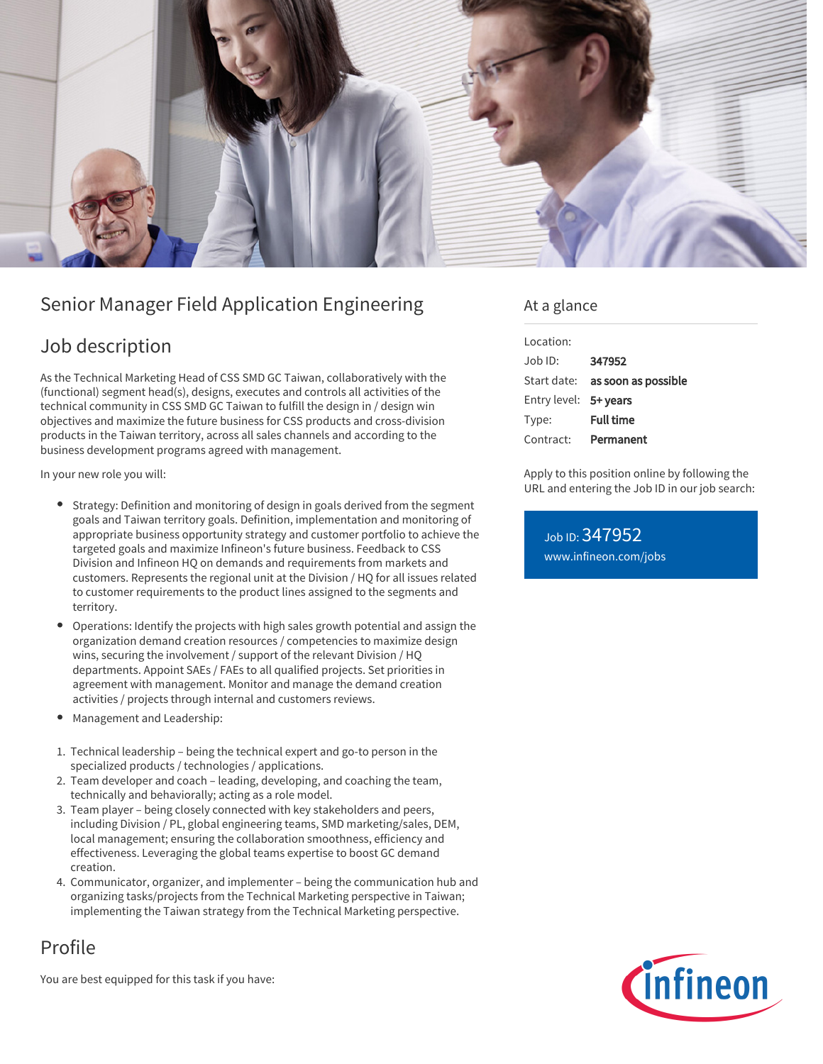

# Senior Manager Field Application Engineering

## Job description

As the Technical Marketing Head of CSS SMD GC Taiwan, collaboratively with the (functional) segment head(s), designs, executes and controls all activities of the technical community in CSS SMD GC Taiwan to fulfill the design in / design win objectives and maximize the future business for CSS products and cross-division products in the Taiwan territory, across all sales channels and according to the business development programs agreed with management.

In your new role you will:

- Strategy: Definition and monitoring of design in goals derived from the segment goals and Taiwan territory goals. Definition, implementation and monitoring of appropriate business opportunity strategy and customer portfolio to achieve the targeted goals and maximize Infineon's future business. Feedback to CSS Division and Infineon HQ on demands and requirements from markets and customers. Represents the regional unit at the Division / HQ for all issues related to customer requirements to the product lines assigned to the segments and territory.
- Operations: Identify the projects with high sales growth potential and assign the organization demand creation resources / competencies to maximize design wins, securing the involvement / support of the relevant Division / HQ departments. Appoint SAEs / FAEs to all qualified projects. Set priorities in agreement with management. Monitor and manage the demand creation activities / projects through internal and customers reviews.
- Management and Leadership:
- 1. Technical leadership being the technical expert and go-to person in the specialized products / technologies / applications.
- 2. Team developer and coach leading, developing, and coaching the team, technically and behaviorally; acting as a role model.
- 3. Team player being closely connected with key stakeholders and peers, including Division / PL, global engineering teams, SMD marketing/sales, DEM, local management; ensuring the collaboration smoothness, efficiency and effectiveness. Leveraging the global teams expertise to boost GC demand creation.
- 4. Communicator, organizer, and implementer being the communication hub and organizing tasks/projects from the Technical Marketing perspective in Taiwan; implementing the Taiwan strategy from the Technical Marketing perspective.

# Profile

You are best equipped for this task if you have:

### At a glance

| Location:             |                                        |
|-----------------------|----------------------------------------|
| $Joh$ ID:             | 347952                                 |
|                       | Start date: <b>as soon as possible</b> |
| Entry level: 5+ years |                                        |
| Type:                 | <b>Full time</b>                       |
| Contract:             | Permanent                              |

Apply to this position online by following the URL and entering the Job ID in our job search:

Job ID: 347952 [www.infineon.com/jobs](https://www.infineon.com/jobs)